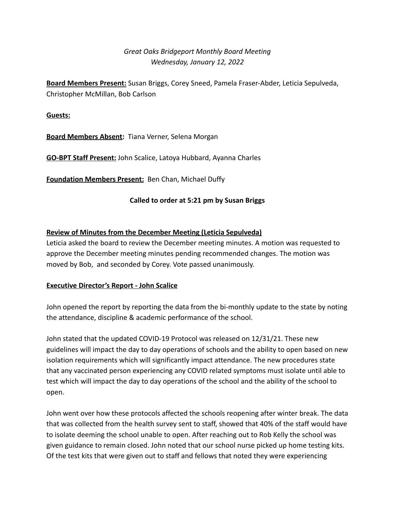# *Great Oaks Bridgeport Monthly Board Meeting Wednesday, January 12, 2022*

**Board Members Present:** Susan Briggs, Corey Sneed, Pamela Fraser-Abder, Leticia Sepulveda, Christopher McMillan, Bob Carlson

#### **Guests:**

**Board Members Absent:** Tiana Verner, Selena Morgan

**GO-BPT Staff Present:** John Scalice, Latoya Hubbard, Ayanna Charles

**Foundation Members Present:** Ben Chan, Michael Duffy

### **Called to order at 5:21 pm by Susan Briggs**

## **Review of Minutes from the December Meeting (Leticia Sepulveda)**

Leticia asked the board to review the December meeting minutes. A motion was requested to approve the December meeting minutes pending recommended changes. The motion was moved by Bob, and seconded by Corey. Vote passed unanimously.

### **Executive Director's Report - John Scalice**

John opened the report by reporting the data from the bi-monthly update to the state by noting the attendance, discipline & academic performance of the school.

John stated that the updated COVID-19 Protocol was released on 12/31/21. These new guidelines will impact the day to day operations of schools and the ability to open based on new isolation requirements which will significantly impact attendance. The new procedures state that any vaccinated person experiencing any COVID related symptoms must isolate until able to test which will impact the day to day operations of the school and the ability of the school to open.

John went over how these protocols affected the schools reopening after winter break. The data that was collected from the health survey sent to staff, showed that 40% of the staff would have to isolate deeming the school unable to open. After reaching out to Rob Kelly the school was given guidance to remain closed. John noted that our school nurse picked up home testing kits. Of the test kits that were given out to staff and fellows that noted they were experiencing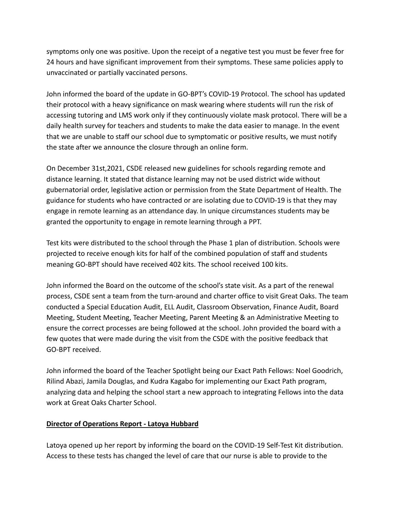symptoms only one was positive. Upon the receipt of a negative test you must be fever free for 24 hours and have significant improvement from their symptoms. These same policies apply to unvaccinated or partially vaccinated persons.

John informed the board of the update in GO-BPT's COVID-19 Protocol. The school has updated their protocol with a heavy significance on mask wearing where students will run the risk of accessing tutoring and LMS work only if they continuously violate mask protocol. There will be a daily health survey for teachers and students to make the data easier to manage. In the event that we are unable to staff our school due to symptomatic or positive results, we must notify the state after we announce the closure through an online form.

On December 31st,2021, CSDE released new guidelines for schools regarding remote and distance learning. It stated that distance learning may not be used district wide without gubernatorial order, legislative action or permission from the State Department of Health. The guidance for students who have contracted or are isolating due to COVID-19 is that they may engage in remote learning as an attendance day. In unique circumstances students may be granted the opportunity to engage in remote learning through a PPT.

Test kits were distributed to the school through the Phase 1 plan of distribution. Schools were projected to receive enough kits for half of the combined population of staff and students meaning GO-BPT should have received 402 kits. The school received 100 kits.

John informed the Board on the outcome of the school's state visit. As a part of the renewal process, CSDE sent a team from the turn-around and charter office to visit Great Oaks. The team conducted a Special Education Audit, ELL Audit, Classroom Observation, Finance Audit, Board Meeting, Student Meeting, Teacher Meeting, Parent Meeting & an Administrative Meeting to ensure the correct processes are being followed at the school. John provided the board with a few quotes that were made during the visit from the CSDE with the positive feedback that GO-BPT received.

John informed the board of the Teacher Spotlight being our Exact Path Fellows: Noel Goodrich, Rilind Abazi, Jamila Douglas, and Kudra Kagabo for implementing our Exact Path program, analyzing data and helping the school start a new approach to integrating Fellows into the data work at Great Oaks Charter School.

### **Director of Operations Report - Latoya Hubbard**

Latoya opened up her report by informing the board on the COVID-19 Self-Test Kit distribution. Access to these tests has changed the level of care that our nurse is able to provide to the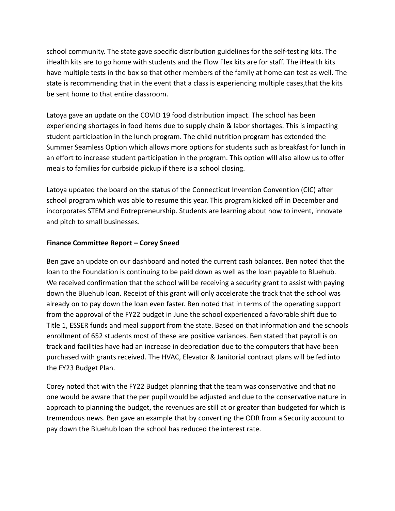school community. The state gave specific distribution guidelines for the self-testing kits. The iHealth kits are to go home with students and the Flow Flex kits are for staff. The iHealth kits have multiple tests in the box so that other members of the family at home can test as well. The state is recommending that in the event that a class is experiencing multiple cases,that the kits be sent home to that entire classroom.

Latoya gave an update on the COVID 19 food distribution impact. The school has been experiencing shortages in food items due to supply chain & labor shortages. This is impacting student participation in the lunch program. The child nutrition program has extended the Summer Seamless Option which allows more options for students such as breakfast for lunch in an effort to increase student participation in the program. This option will also allow us to offer meals to families for curbside pickup if there is a school closing.

Latoya updated the board on the status of the Connecticut Invention Convention (CIC) after school program which was able to resume this year. This program kicked off in December and incorporates STEM and Entrepreneurship. Students are learning about how to invent, innovate and pitch to small businesses.

### **Finance Committee Report – Corey Sneed**

Ben gave an update on our dashboard and noted the current cash balances. Ben noted that the loan to the Foundation is continuing to be paid down as well as the loan payable to Bluehub. We received confirmation that the school will be receiving a security grant to assist with paying down the Bluehub loan. Receipt of this grant will only accelerate the track that the school was already on to pay down the loan even faster. Ben noted that in terms of the operating support from the approval of the FY22 budget in June the school experienced a favorable shift due to Title 1, ESSER funds and meal support from the state. Based on that information and the schools enrollment of 652 students most of these are positive variances. Ben stated that payroll is on track and facilities have had an increase in depreciation due to the computers that have been purchased with grants received. The HVAC, Elevator & Janitorial contract plans will be fed into the FY23 Budget Plan.

Corey noted that with the FY22 Budget planning that the team was conservative and that no one would be aware that the per pupil would be adjusted and due to the conservative nature in approach to planning the budget, the revenues are still at or greater than budgeted for which is tremendous news. Ben gave an example that by converting the ODR from a Security account to pay down the Bluehub loan the school has reduced the interest rate.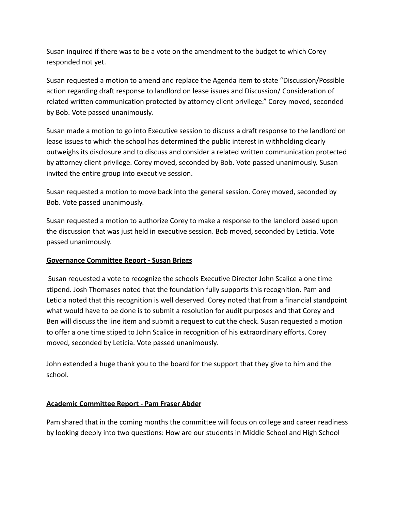Susan inquired if there was to be a vote on the amendment to the budget to which Corey responded not yet.

Susan requested a motion to amend and replace the Agenda item to state "Discussion/Possible action regarding draft response to landlord on lease issues and Discussion/ Consideration of related written communication protected by attorney client privilege." Corey moved, seconded by Bob. Vote passed unanimously.

Susan made a motion to go into Executive session to discuss a draft response to the landlord on lease issues to which the school has determined the public interest in withholding clearly outweighs its disclosure and to discuss and consider a related written communication protected by attorney client privilege. Corey moved, seconded by Bob. Vote passed unanimously. Susan invited the entire group into executive session.

Susan requested a motion to move back into the general session. Corey moved, seconded by Bob. Vote passed unanimously.

Susan requested a motion to authorize Corey to make a response to the landlord based upon the discussion that was just held in executive session. Bob moved, seconded by Leticia. Vote passed unanimously.

### **Governance Committee Report - Susan Briggs**

Susan requested a vote to recognize the schools Executive Director John Scalice a one time stipend. Josh Thomases noted that the foundation fully supports this recognition. Pam and Leticia noted that this recognition is well deserved. Corey noted that from a financial standpoint what would have to be done is to submit a resolution for audit purposes and that Corey and Ben will discuss the line item and submit a request to cut the check. Susan requested a motion to offer a one time stiped to John Scalice in recognition of his extraordinary efforts. Corey moved, seconded by Leticia. Vote passed unanimously.

John extended a huge thank you to the board for the support that they give to him and the school.

### **Academic Committee Report - Pam Fraser Abder**

Pam shared that in the coming months the committee will focus on college and career readiness by looking deeply into two questions: How are our students in Middle School and High School